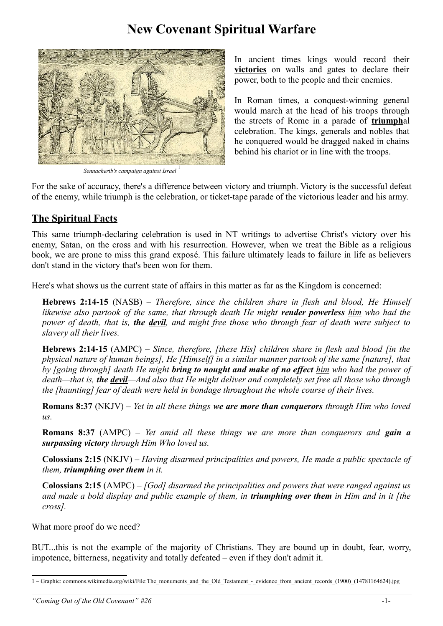# **New Covenant Spiritual Warfare**



*Sennacherib's campaign against Israel* [1](#page-0-0)

In ancient times kings would record their **victories** on walls and gates to declare their power, both to the people and their enemies.

In Roman times, a conquest-winning general would march at the head of his troops through the streets of Rome in a parade of **triumph**al celebration. The kings, generals and nobles that he conquered would be dragged naked in chains behind his chariot or in line with the troops.

For the sake of accuracy, there's a difference between victory and triumph. Victory is the successful defeat of the enemy, while triumph is the celebration, or ticket-tape parade of the victorious leader and his army.

#### **The Spiritual Facts**

This same triumph-declaring celebration is used in NT writings to advertise Christ's victory over his enemy, Satan, on the cross and with his resurrection. However, when we treat the Bible as a religious book, we are prone to miss this grand exposé. This failure ultimately leads to failure in life as believers don't stand in the victory that's been won for them.

Here's what shows us the current state of affairs in this matter as far as the Kingdom is concerned:

**Hebrews 2:14-15** (NASB) – *Therefore, since the children share in flesh and blood, He Himself likewise also partook of the same, that through death He might render powerless him who had the power of death, that is, the devil, and might free those who through fear of death were subject to slavery all their lives.*

**Hebrews 2:14-15** (AMPC) – *Since, therefore, [these His] children share in flesh and blood [in the physical nature of human beings], He [Himself] in a similar manner partook of the same [nature], that by [going through] death He might bring to nought and make of no effect him who had the power of death—that is, the devil—And also that He might deliver and completely set free all those who through the [haunting] fear of death were held in bondage throughout the whole course of their lives.*

**Romans 8:37** (NKJV) – *Yet in all these things we are more than conquerors through Him who loved us.* 

**Romans 8:37** (AMPC) – *Yet amid all these things we are more than conquerors and gain a surpassing victory through Him Who loved us.*

**Colossians 2:15** (NKJV) – *Having disarmed principalities and powers, He made a public spectacle of them, triumphing over them in it.*

**Colossians 2:15** (AMPC) – *[God] disarmed the principalities and powers that were ranged against us and made a bold display and public example of them, in triumphing over them in Him and in it [the cross].*

What more proof do we need?

BUT...this is not the example of the majority of Christians. They are bound up in doubt, fear, worry, impotence, bitterness, negativity and totally defeated – even if they don't admit it.

<span id="page-0-0"></span><sup>1 –</sup> Graphic: commons.wikimedia.org/wiki/File:The\_monuments\_and\_the\_Old\_Testament\_-\_evidence\_from\_ancient\_records\_(1900)\_(14781164624).jpg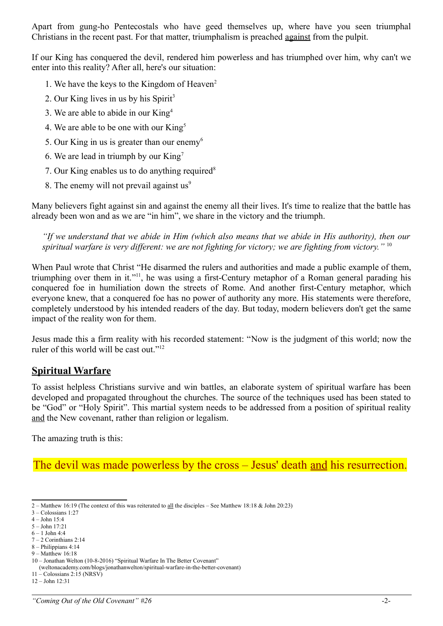Apart from gung-ho Pentecostals who have geed themselves up, where have you seen triumphal Christians in the recent past. For that matter, triumphalism is preached against from the pulpit.

If our King has conquered the devil, rendered him powerless and has triumphed over him, why can't we enter into this reality? After all, here's our situation:

- 1. We have the keys to the Kingdom of Heaven<sup>[2](#page-1-0)</sup>
- 2. Our King lives in us by his Spirit<sup>[3](#page-1-1)</sup>
- 3. We are able to abide in our King[4](#page-1-2)
- 4. We are able to be one with our  $King<sup>5</sup>$  $King<sup>5</sup>$  $King<sup>5</sup>$
- 5. Our King in us is greater than our enemy<sup>[6](#page-1-4)</sup>
- 6. We are lead in triumph by our  $King<sup>7</sup>$  $King<sup>7</sup>$  $King<sup>7</sup>$
- 7. Our King enables us to do anything required $8$
- 8. The enemy will not prevail against  $us^9$  $us^9$

Many believers fight against sin and against the enemy all their lives. It's time to realize that the battle has already been won and as we are "in him", we share in the victory and the triumph.

*"If we understand that we abide in Him (which also means that we abide in His authority), then our spiritual warfare is very different: we are not fighting for victory; we are fighting from victory."* [10](#page-1-8)

When Paul wrote that Christ "He disarmed the rulers and authorities and made a public example of them, triumphing over them in it."<sup>[11](#page-1-9)</sup>, he was using a first-Century metaphor of a Roman general parading his conquered foe in humiliation down the streets of Rome. And another first-Century metaphor, which everyone knew, that a conquered foe has no power of authority any more. His statements were therefore, completely understood by his intended readers of the day. But today, modern believers don't get the same impact of the reality won for them.

Jesus made this a firm reality with his recorded statement: "Now is the judgment of this world; now the ruler of this world will be cast out."<sup>[12](#page-1-10)</sup>

#### **Spiritual Warfare**

To assist helpless Christians survive and win battles, an elaborate system of spiritual warfare has been developed and propagated throughout the churches. The source of the techniques used has been stated to be "God" or "Holy Spirit". This martial system needs to be addressed from a position of spiritual reality and the New covenant, rather than religion or legalism.

The amazing truth is this:

The devil was made powerless by the cross – Jesus' death and his resurrection.

<span id="page-1-0"></span><sup>2 –</sup> Matthew 16:19 (The context of this was reiterated to all the disciples – See Matthew 18:18 & John 20:23)

<span id="page-1-1"></span><sup>3 –</sup> Colossians 1:27

<span id="page-1-2"></span><sup>4 –</sup> John 15:4

<span id="page-1-3"></span><sup>5 –</sup> John 17:21  $6 - 1$  John 4:4

<span id="page-1-5"></span><span id="page-1-4"></span><sup>7 – 2</sup> Corinthians 2:14

<span id="page-1-6"></span><sup>8 –</sup> Philippians 4:14

<span id="page-1-7"></span><sup>9 –</sup> Matthew 16:18

<span id="page-1-8"></span><sup>10 –</sup> Jonathan Welton (10-8-2016) "Spiritual Warfare In The Better Covenant"

 <sup>(</sup>weltonacademy.com/blogs/jonathanwelton/spiritual-warfare-in-the-better-covenant)

<span id="page-1-10"></span><span id="page-1-9"></span><sup>11 –</sup> Colossians 2:15 (NRSV) 12 – John 12:31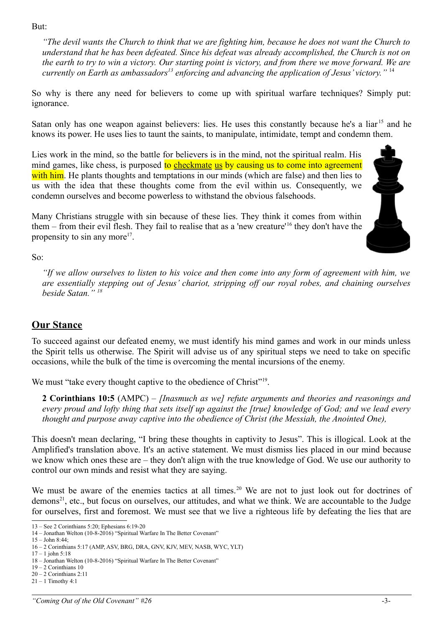But:

*"The devil wants the Church to think that we are fighting him, because he does not want the Church to understand that he has been defeated. Since his defeat was already accomplished, the Church is not on the earth to try to win a victory. Our starting point is victory, and from there we move forward. We are currently on Earth as ambassadors[13](#page-2-0) enforcing and advancing the application of Jesus' victory."* [14](#page-2-1)

So why is there any need for believers to come up with spiritual warfare techniques? Simply put: ignorance.

Satan only has one weapon against believers: lies. He uses this constantly because he's a liar<sup>[15](#page-2-2)</sup> and he knows its power. He uses lies to taunt the saints, to manipulate, intimidate, tempt and condemn them.

Lies work in the mind, so the battle for believers is in the mind, not the spiritual realm. His mind games, like chess, is purposed to checkmate us by causing us to come into agreement with him. He plants thoughts and temptations in our minds (which are false) and then lies to us with the idea that these thoughts come from the evil within us. Consequently, we condemn ourselves and become powerless to withstand the obvious falsehoods.

Many Christians struggle with sin because of these lies. They think it comes from within them – from their evil flesh. They fail to realise that as a 'new creature'[16](#page-2-3) they don't have the propensity to sin any more<sup>[17](#page-2-4)</sup>.



So:

*"If we allow ourselves to listen to his voice and then come into any form of agreement with him, we are essentially stepping out of Jesus' chariot, stripping off our royal robes, and chaining ourselves beside Satan." [18](#page-2-5)*

# **Our Stance**

To succeed against our defeated enemy, we must identify his mind games and work in our minds unless the Spirit tells us otherwise. The Spirit will advise us of any spiritual steps we need to take on specific occasions, while the bulk of the time is overcoming the mental incursions of the enemy.

We must "take every thought captive to the obedience of Christ"<sup>[19](#page-2-6)</sup>.

**2 Corinthians 10:5** (AMPC) – *[Inasmuch as we] refute arguments and theories and reasonings and every proud and lofty thing that sets itself up against the [true] knowledge of God; and we lead every thought and purpose away captive into the obedience of Christ (the Messiah, the Anointed One),*

This doesn't mean declaring, "I bring these thoughts in captivity to Jesus". This is illogical. Look at the Amplified's translation above. It's an active statement. We must dismiss lies placed in our mind because we know which ones these are – they don't align with the true knowledge of God. We use our authority to control our own minds and resist what they are saying.

We must be aware of the enemies tactics at all times.<sup>[20](#page-2-7)</sup> We are not to just look out for doctrines of demons<sup>[21](#page-2-8)</sup>, etc., but focus on ourselves, our attitudes, and what we think. We are accountable to the Judge for ourselves, first and foremost. We must see that we live a righteous life by defeating the lies that are

<span id="page-2-0"></span><sup>13 –</sup> See 2 Corinthians 5:20; Ephesians 6:19-20

<span id="page-2-1"></span><sup>14 –</sup> Jonathan Welton (10-8-2016) "Spiritual Warfare In The Better Covenant"

<span id="page-2-2"></span><sup>15 –</sup> John 8:44;

<span id="page-2-3"></span><sup>16 – 2</sup> Corinthians 5:17 (AMP, ASV, BRG, DRA, GNV, KJV, MEV, NASB, WYC, YLT)

<span id="page-2-4"></span> $17 - 1$  john 5:18

<span id="page-2-5"></span><sup>18 –</sup> Jonathan Welton (10-8-2016) "Spiritual Warfare In The Better Covenant"

<span id="page-2-6"></span><sup>19 – 2</sup> Corinthians 10

<span id="page-2-7"></span><sup>20 – 2</sup> Corinthians 2:11

<span id="page-2-8"></span><sup>21 – 1</sup> Timothy 4:1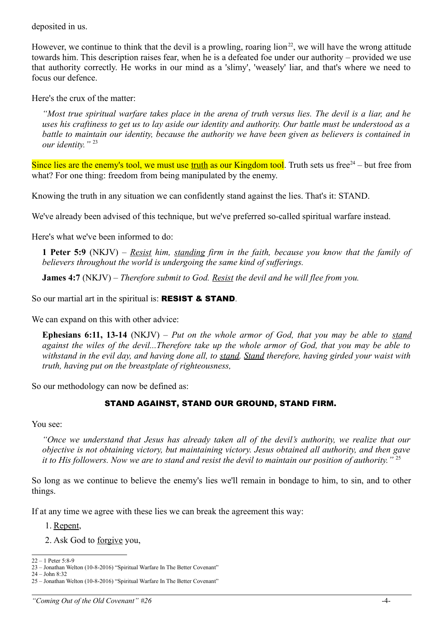deposited in us.

However, we continue to think that the devil is a prowling, roaring  $\lim_{n \to \infty}$  we will have the wrong attitude towards him. This description raises fear, when he is a defeated foe under our authority – provided we use that authority correctly. He works in our mind as a 'slimy', 'weasely' liar, and that's where we need to focus our defence.

Here's the crux of the matter:

*"Most true spiritual warfare takes place in the arena of truth versus lies. The devil is a liar, and he uses his craftiness to get us to lay aside our identity and authority. Our battle must be understood as a battle to maintain our identity, because the authority we have been given as believers is contained in our identity."* [23](#page-3-1)

Since lies are the enemy's tool, we must use truth as our Kingdom tool. Truth sets us free $24$  – but free from what? For one thing: freedom from being manipulated by the enemy.

Knowing the truth in any situation we can confidently stand against the lies. That's it: STAND.

We've already been advised of this technique, but we've preferred so-called spiritual warfare instead.

Here's what we've been informed to do:

**1 Peter 5:9** (NKJV) – *Resist him, standing firm in the faith, because you know that the family of believers throughout the world is undergoing the same kind of sufferings.*

**James 4:7** (NKJV) – *Therefore submit to God. Resist the devil and he will flee from you.* 

So our martial art in the spiritual is: **RESIST & STAND**.

We can expand on this with other advice:

**Ephesians 6:11, 13-14** (NKJV) – *Put on the whole armor of God, that you may be able to stand against the wiles of the devil...Therefore take up the whole armor of God, that you may be able to withstand in the evil day, and having done all, to stand. Stand therefore, having girded your waist with truth, having put on the breastplate of righteousness,* 

So our methodology can now be defined as:

#### STAND AGAINST, STAND OUR GROUND, STAND FIRM.

You see:

*"Once we understand that Jesus has already taken all of the devil's authority, we realize that our objective is not obtaining victory, but maintaining victory. Jesus obtained all authority, and then gave it to His followers. Now we are to stand and resist the devil to maintain our position of authority."* [25](#page-3-3)

So long as we continue to believe the enemy's lies we'll remain in bondage to him, to sin, and to other things.

If at any time we agree with these lies we can break the agreement this way:

- 1. Repent,
- 2. Ask God to forgive you,

<span id="page-3-0"></span> $22 - 1$  Peter 5:8-9

<span id="page-3-1"></span><sup>23 –</sup> Jonathan Welton (10-8-2016) "Spiritual Warfare In The Better Covenant" 24 – John 8:32

<span id="page-3-3"></span><span id="page-3-2"></span><sup>25 –</sup> Jonathan Welton (10-8-2016) "Spiritual Warfare In The Better Covenant"